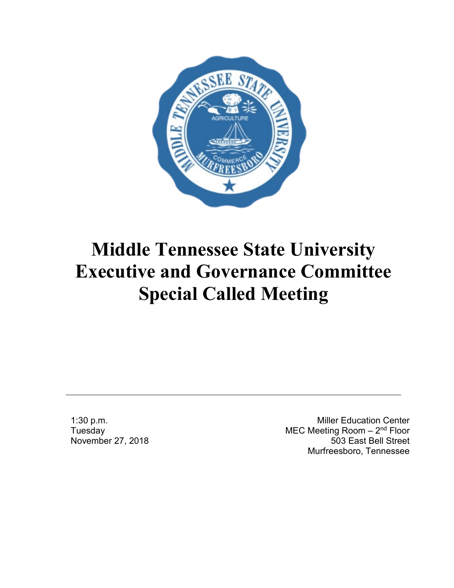

## **Middle Tennessee State University Executive and Governance Committee Special Called Meeting**

1:30 p.m. **Tuesday** November 27, 2018

Miller Education Center MEC Meeting Room - 2<sup>nd</sup> Floor 503 East Bell Street Murfreesboro, Tennessee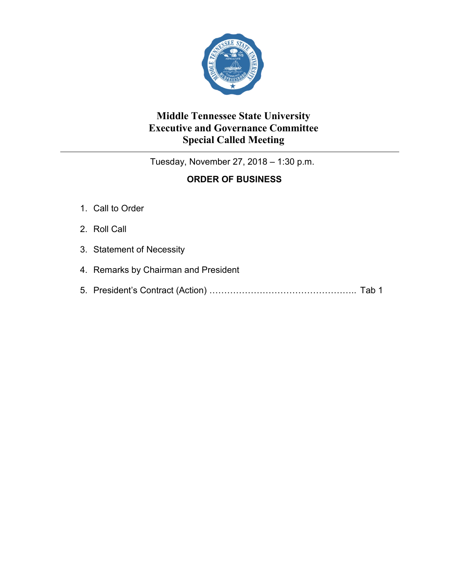

## **Middle Tennessee State University Executive and Governance Committee Special Called Meeting**

Tuesday, November 27, 2018 – 1:30 p.m.

## **ORDER OF BUSINESS**

- 1. Call to Order
- 2. Roll Call
- 3. Statement of Necessity
- 4. Remarks by Chairman and President
- 5. President's Contract (Action) ………………………………………….. Tab 1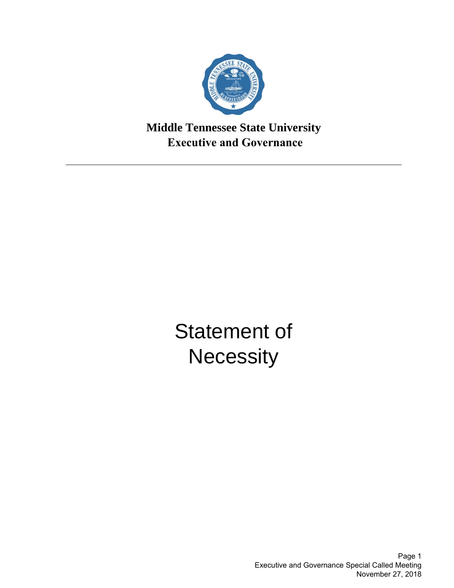

**Middle Tennessee State University Executive and Governance**

> Statement of **Necessity**

> > Page 1 Executive and Governance Special Called Meeting November 27, 2018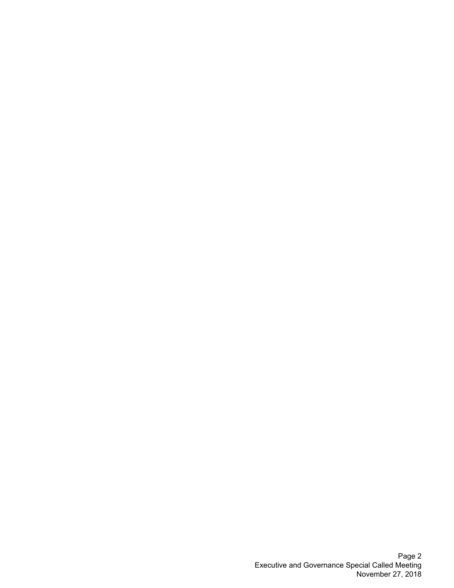Page 2 Executive and Governance Special Called Meeting November 27, 2018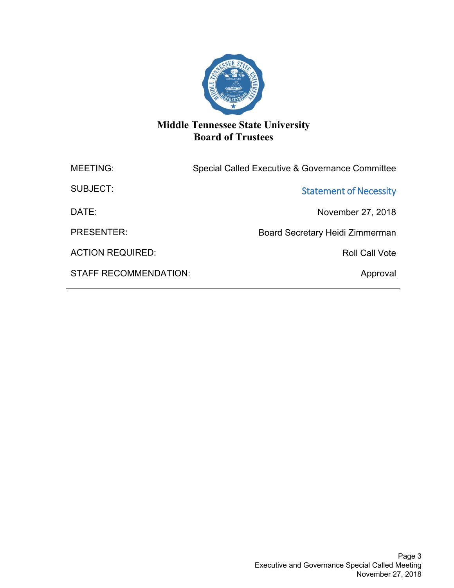

### **Middle Tennessee State University Board of Trustees**

| <b>MEETING:</b>              | Special Called Executive & Governance Committee |
|------------------------------|-------------------------------------------------|
| SUBJECT:                     | <b>Statement of Necessity</b>                   |
| DATE:                        | November 27, 2018                               |
| <b>PRESENTER:</b>            | Board Secretary Heidi Zimmerman                 |
| <b>ACTION REQUIRED:</b>      | <b>Roll Call Vote</b>                           |
| <b>STAFF RECOMMENDATION:</b> | Approval                                        |
|                              |                                                 |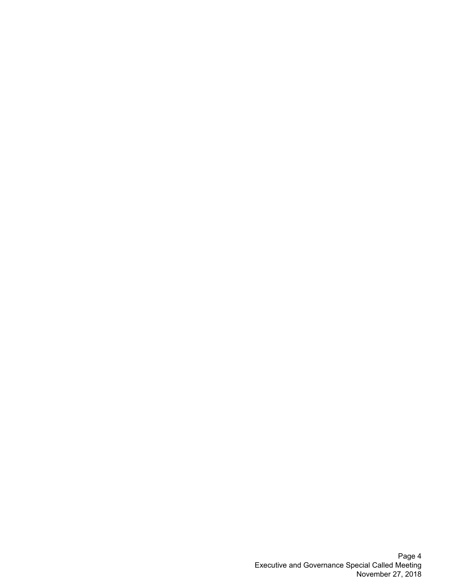Page 4 Executive and Governance Special Called Meeting November 27, 2018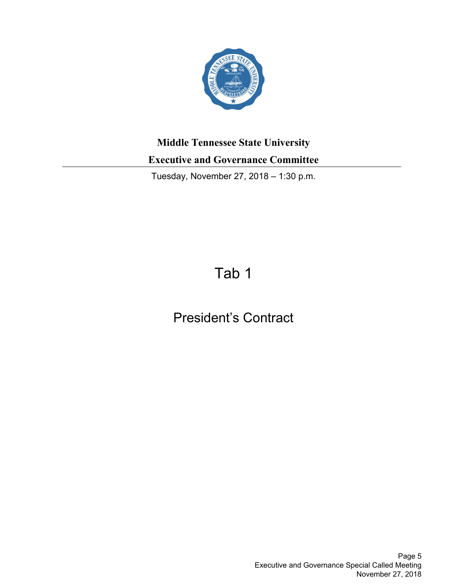

# **Middle Tennessee State University**

**Executive and Governance Committee**

Tuesday, November 27, 2018 – 1:30 p.m.

## Tab 1

President's Contract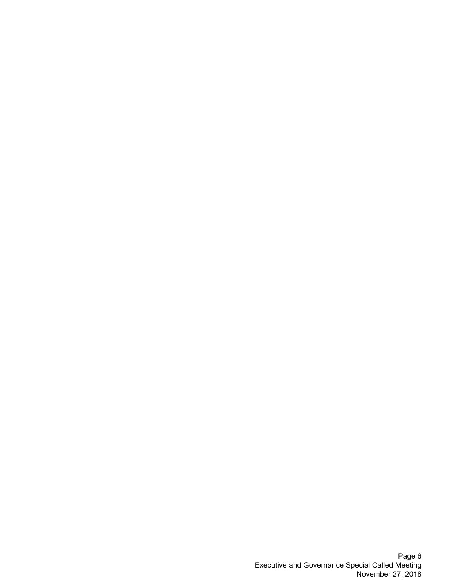Page 6 Executive and Governance Special Called Meeting November 27, 2018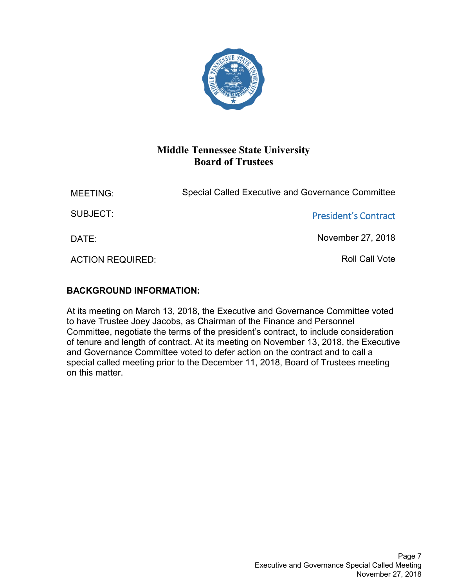

## **Middle Tennessee State University Board of Trustees**

| <b>MEETING:</b>         | Special Called Executive and Governance Committee |
|-------------------------|---------------------------------------------------|
| SUBJECT:                | <b>President's Contract</b>                       |
| DATE:                   | November 27, 2018                                 |
| <b>ACTION REQUIRED:</b> | <b>Roll Call Vote</b>                             |

### **BACKGROUND INFORMATION:**

At its meeting on March 13, 2018, the Executive and Governance Committee voted to have Trustee Joey Jacobs, as Chairman of the Finance and Personnel Committee, negotiate the terms of the president's contract, to include consideration of tenure and length of contract. At its meeting on November 13, 2018, the Executive and Governance Committee voted to defer action on the contract and to call a special called meeting prior to the December 11, 2018, Board of Trustees meeting on this matter.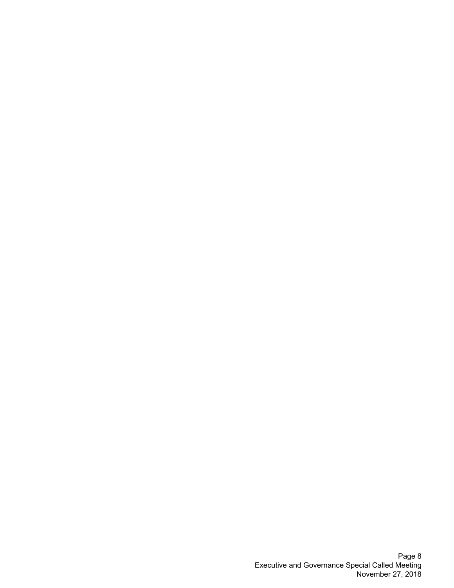Page 8 Executive and Governance Special Called Meeting November 27, 2018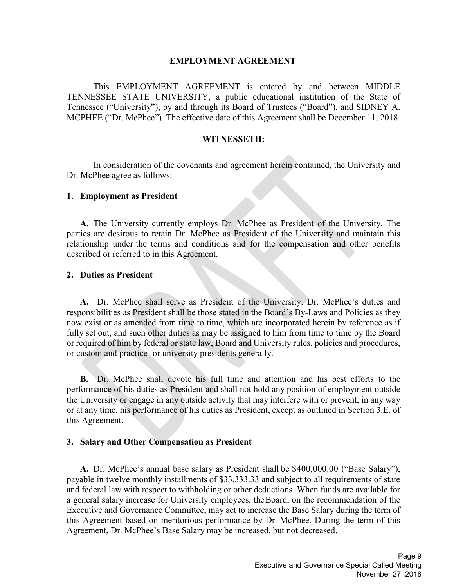#### **EMPLOYMENT AGREEMENT**

This EMPLOYMENT AGREEMENT is entered by and between MIDDLE TENNESSEE STATE UNIVERSITY, a public educational institution of the State of Tennessee ("University"), by and through its Board of Trustees ("Board"), and SIDNEY A. MCPHEE ("Dr. McPhee"). The effective date of this Agreement shall be December 11, 2018.

#### **WITNESSETH:**

In consideration of the covenants and agreement herein contained, the University and Dr. McPhee agree as follows:

#### **1. Employment as President**

**A.** The University currently employs Dr. McPhee as President of the University. The parties are desirous to retain Dr. McPhee as President of the University and maintain this relationship under the terms and conditions and for the compensation and other benefits described or referred to in this Agreement.

#### **2. Duties as President**

**A.** Dr. McPhee shall serve as President of the University. Dr. McPhee's duties and responsibilities as President shall be those stated in the Board's By-Laws and Policies as they now exist or as amended from time to time, which are incorporated herein by reference as if fully set out, and such other duties as may be assigned to him from time to time by the Board or required of him by federal or state law, Board and University rules, policies and procedures, or custom and practice for university presidents generally.

**B.** Dr. McPhee shall devote his full time and attention and his best efforts to the performance of his duties as President and shall not hold any position of employment outside the University or engage in any outside activity that may interfere with or prevent, in any way or at any time, his performance of his duties as President, except as outlined in Section 3.E. of this Agreement.

#### **3. Salary and Other Compensation as President**

**A.** Dr. McPhee's annual base salary as President shall be \$400,000.00 ("Base Salary"), payable in twelve monthly installments of \$33,333.33 and subject to all requirements of state and federal law with respect to withholding or other deductions. When funds are available for a general salary increase for University employees, theBoard, on the recommendation of the Executive and Governance Committee, may act to increase the Base Salary during the term of this Agreement based on meritorious performance by Dr. McPhee. During the term of this Agreement, Dr. McPhee's Base Salary may be increased, but not decreased.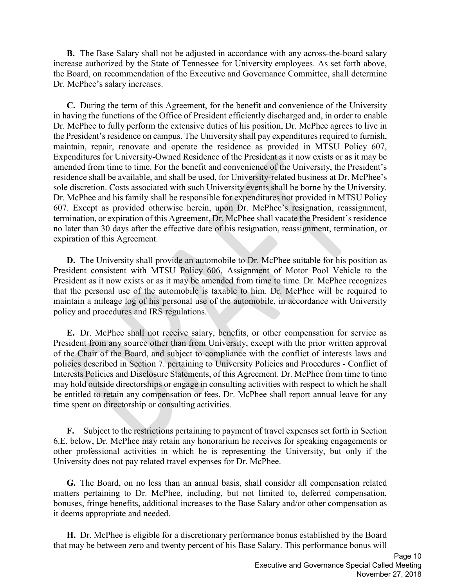**B.** The Base Salary shall not be adjusted in accordance with any across-the-board salary increase authorized by the State of Tennessee for University employees. As set forth above, the Board, on recommendation of the Executive and Governance Committee, shall determine Dr. McPhee's salary increases.

**C.** During the term of this Agreement, for the benefit and convenience of the University in having the functions of the Office of President efficiently discharged and, in order to enable Dr. McPhee to fully perform the extensive duties of his position, Dr. McPhee agrees to live in the President's residence on campus. The University shall pay expenditures required to furnish, maintain, repair, renovate and operate the residence as provided in MTSU Policy 607, Expenditures for University-Owned Residence of the President as it now exists or as it may be amended from time to time. For the benefit and convenience of the University, the President's residence shall be available, and shall be used, for University-related business at Dr. McPhee's sole discretion. Costs associated with such University events shall be borne by the University. Dr. McPhee and his family shall be responsible for expenditures not provided in MTSU Policy 607. Except as provided otherwise herein, upon Dr. McPhee's resignation, reassignment, termination, or expiration of this Agreement, Dr. McPhee shall vacate the President's residence no later than 30 days after the effective date of his resignation, reassignment, termination, or expiration of this Agreement.

**D.** The University shall provide an automobile to Dr. McPhee suitable for his position as President consistent with MTSU Policy 606, Assignment of Motor Pool Vehicle to the President as it now exists or as it may be amended from time to time. Dr. McPhee recognizes that the personal use of the automobile is taxable to him. Dr. McPhee will be required to maintain a mileage log of his personal use of the automobile, in accordance with University policy and procedures and IRS regulations.

**E.** Dr. McPhee shall not receive salary, benefits, or other compensation for service as President from any source other than from University, except with the prior written approval of the Chair of the Board, and subject to compliance with the conflict of interests laws and policies described in Section 7. pertaining to University Policies and Procedures - Conflict of Interests Policies and Disclosure Statements, of this Agreement. Dr. McPhee from time to time may hold outside directorships or engage in consulting activities with respect to which he shall be entitled to retain any compensation or fees. Dr. McPhee shall report annual leave for any time spent on directorship or consulting activities.

**F.** Subject to the restrictions pertaining to payment of travel expenses set forth in Section 6.E. below, Dr. McPhee may retain any honorarium he receives for speaking engagements or other professional activities in which he is representing the University, but only if the University does not pay related travel expenses for Dr. McPhee.

**G.** The Board, on no less than an annual basis, shall consider all compensation related matters pertaining to Dr. McPhee, including, but not limited to, deferred compensation, bonuses, fringe benefits, additional increases to the Base Salary and/or other compensation as it deems appropriate and needed.

**H.** Dr. McPhee is eligible for a discretionary performance bonus established by the Board that may be between zero and twenty percent of his Base Salary. This performance bonus will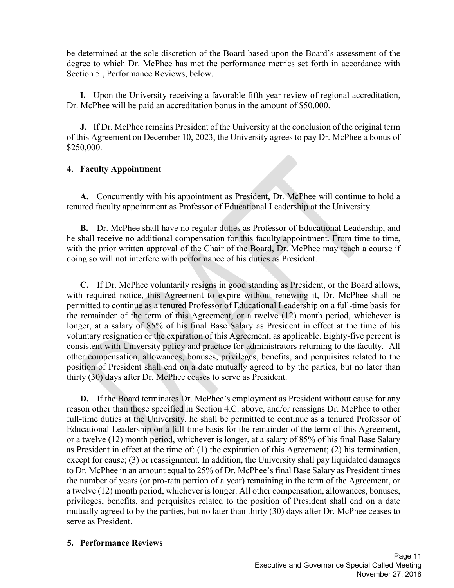be determined at the sole discretion of the Board based upon the Board's assessment of the degree to which Dr. McPhee has met the performance metrics set forth in accordance with Section 5., Performance Reviews, below.

**I.** Upon the University receiving a favorable fifth year review of regional accreditation, Dr. McPhee will be paid an accreditation bonus in the amount of \$50,000.

**J.** If Dr. McPhee remains President of the University at the conclusion of the original term of this Agreement on December 10, 2023, the University agrees to pay Dr. McPhee a bonus of \$250,000.

#### **4. Faculty Appointment**

**A.** Concurrently with his appointment as President, Dr. McPhee will continue to hold a tenured faculty appointment as Professor of Educational Leadership at the University.

**B.** Dr. McPhee shall have no regular duties as Professor of Educational Leadership, and he shall receive no additional compensation for this faculty appointment. From time to time, with the prior written approval of the Chair of the Board, Dr. McPhee may teach a course if doing so will not interfere with performance of his duties as President.

**C.** If Dr. McPhee voluntarily resigns in good standing as President, or the Board allows, with required notice, this Agreement to expire without renewing it, Dr. McPhee shall be permitted to continue as a tenured Professor of Educational Leadership on a full-time basis for the remainder of the term of this Agreement, or a twelve (12) month period, whichever is longer, at a salary of 85% of his final Base Salary as President in effect at the time of his voluntary resignation or the expiration of this Agreement, as applicable. Eighty-five percent is consistent with University policy and practice for administrators returning to the faculty. All other compensation, allowances, bonuses, privileges, benefits, and perquisites related to the position of President shall end on a date mutually agreed to by the parties, but no later than thirty (30) days after Dr. McPhee ceases to serve as President.

**D.** If the Board terminates Dr. McPhee's employment as President without cause for any reason other than those specified in Section 4.C. above, and/or reassigns Dr. McPhee to other full-time duties at the University, he shall be permitted to continue as a tenured Professor of Educational Leadership on a full-time basis for the remainder of the term of this Agreement, or a twelve (12) month period, whichever is longer, at a salary of 85% of his final Base Salary as President in effect at the time of: (1) the expiration of this Agreement; (2) his termination, except for cause; (3) or reassignment. In addition, the University shall pay liquidated damages to Dr. McPhee in an amount equal to 25% of Dr. McPhee's final Base Salary as President times the number of years (or pro-rata portion of a year) remaining in the term of the Agreement, or a twelve (12) month period, whichever is longer. All other compensation, allowances, bonuses, privileges, benefits, and perquisites related to the position of President shall end on a date mutually agreed to by the parties, but no later than thirty (30) days after Dr. McPhee ceases to serve as President.

#### **5. Performance Reviews**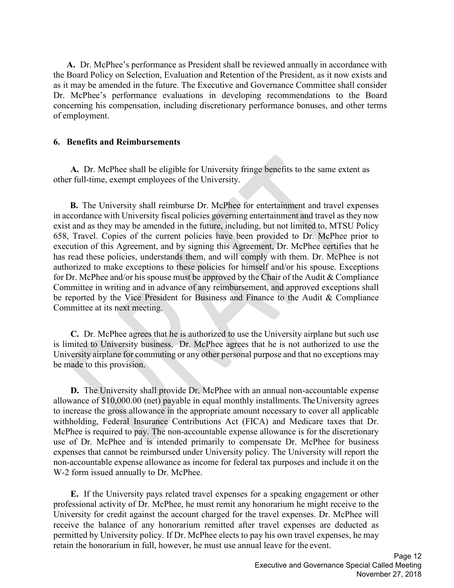**A.** Dr. McPhee's performance as President shall be reviewed annually in accordance with the Board Policy on Selection, Evaluation and Retention of the President, as it now exists and as it may be amended in the future. The Executive and Governance Committee shall consider Dr. McPhee's performance evaluations in developing recommendations to the Board concerning his compensation, including discretionary performance bonuses, and other terms of employment.

#### **6. Benefits and Reimbursements**

**A.** Dr. McPhee shall be eligible for University fringe benefits to the same extent as other full-time, exempt employees of the University.

**B.** The University shall reimburse Dr. McPhee for entertainment and travel expenses in accordance with University fiscal policies governing entertainment and travel as they now exist and as they may be amended in the future, including, but not limited to, MTSU Policy 658, Travel. Copies of the current policies have been provided to Dr. McPhee prior to execution of this Agreement, and by signing this Agreement, Dr. McPhee certifies that he has read these policies, understands them, and will comply with them. Dr. McPhee is not authorized to make exceptions to these policies for himself and/or his spouse. Exceptions for Dr. McPhee and/or his spouse must be approved by the Chair of the Audit & Compliance Committee in writing and in advance of any reimbursement, and approved exceptions shall be reported by the Vice President for Business and Finance to the Audit & Compliance Committee at its next meeting.

**C.** Dr. McPhee agrees that he is authorized to use the University airplane but such use is limited to University business. Dr. McPhee agrees that he is not authorized to use the University airplane for commuting or any other personal purpose and that no exceptions may be made to this provision.

**D.** The University shall provide Dr. McPhee with an annual non-accountable expense allowance of \$10,000.00 (net) payable in equal monthly installments. The University agrees to increase the gross allowance in the appropriate amount necessary to cover all applicable withholding, Federal Insurance Contributions Act (FICA) and Medicare taxes that Dr. McPhee is required to pay. The non-accountable expense allowance is for the discretionary use of Dr. McPhee and is intended primarily to compensate Dr. McPhee for business expenses that cannot be reimbursed under University policy. The University will report the non-accountable expense allowance as income for federal tax purposes and include it on the W-2 form issued annually to Dr. McPhee.

**E.** If the University pays related travel expenses for a speaking engagement or other professional activity of Dr. McPhee, he must remit any honorarium he might receive to the University for credit against the account charged for the travel expenses. Dr. McPhee will receive the balance of any honorarium remitted after travel expenses are deducted as permitted by University policy. If Dr. McPhee elects to pay his own travel expenses, he may retain the honorarium in full, however, he must use annual leave for the event.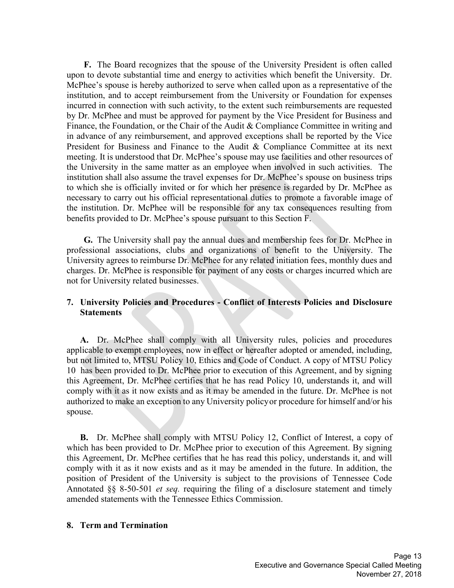**F.** The Board recognizes that the spouse of the University President is often called upon to devote substantial time and energy to activities which benefit the University. Dr. McPhee's spouse is hereby authorized to serve when called upon as a representative of the institution, and to accept reimbursement from the University or Foundation for expenses incurred in connection with such activity, to the extent such reimbursements are requested by Dr. McPhee and must be approved for payment by the Vice President for Business and Finance, the Foundation, or the Chair of the Audit & Compliance Committee in writing and in advance of any reimbursement, and approved exceptions shall be reported by the Vice President for Business and Finance to the Audit & Compliance Committee at its next meeting. It is understood that Dr. McPhee's spouse may use facilities and other resources of the University in the same matter as an employee when involved in such activities. The institution shall also assume the travel expenses for Dr. McPhee's spouse on business trips to which she is officially invited or for which her presence is regarded by Dr. McPhee as necessary to carry out his official representational duties to promote a favorable image of the institution. Dr. McPhee will be responsible for any tax consequences resulting from benefits provided to Dr. McPhee's spouse pursuant to this Section F.

**G.** The University shall pay the annual dues and membership fees for Dr. McPhee in professional associations, clubs and organizations of benefit to the University. The University agrees to reimburse Dr. McPhee for any related initiation fees, monthly dues and charges. Dr. McPhee is responsible for payment of any costs or charges incurred which are not for University related businesses.

#### **7. University Policies and Procedures - Conflict of Interests Policies and Disclosure Statements**

**A.** Dr. McPhee shall comply with all University rules, policies and procedures applicable to exempt employees, now in effect or hereafter adopted or amended, including, but not limited to, MTSU Policy 10, Ethics and Code of Conduct. A copy of MTSU Policy 10 has been provided to Dr. McPhee prior to execution of this Agreement, and by signing this Agreement, Dr. McPhee certifies that he has read Policy 10, understands it, and will comply with it as it now exists and as it may be amended in the future. Dr. McPhee is not authorized to make an exception to any University policyor procedure for himself and/or his spouse.

**B.** Dr. McPhee shall comply with MTSU Policy 12, Conflict of Interest, a copy of which has been provided to Dr. McPhee prior to execution of this Agreement. By signing this Agreement, Dr. McPhee certifies that he has read this policy, understands it, and will comply with it as it now exists and as it may be amended in the future. In addition, the position of President of the University is subject to the provisions of Tennessee Code Annotated §§ 8-50-501 *et seq.* requiring the filing of a disclosure statement and timely amended statements with the Tennessee Ethics Commission.

#### **8. Term and Termination**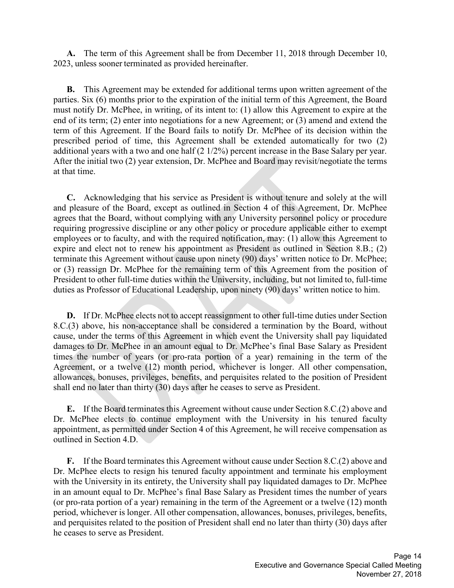**A.** The term of this Agreement shall be from December 11, 2018 through December 10, 2023, unless sooner terminated as provided hereinafter.

**B.** This Agreement may be extended for additional terms upon written agreement of the parties. Six (6) months prior to the expiration of the initial term of this Agreement, the Board must notify Dr. McPhee, in writing, of its intent to: (1) allow this Agreement to expire at the end of its term; (2) enter into negotiations for a new Agreement; or (3) amend and extend the term of this Agreement. If the Board fails to notify Dr. McPhee of its decision within the prescribed period of time, this Agreement shall be extended automatically for two (2) additional years with a two and one half (2 1/2%) percent increase in the Base Salary per year. After the initial two (2) year extension, Dr. McPhee and Board may revisit/negotiate the terms at that time.

**C.** Acknowledging that his service as President is without tenure and solely at the will and pleasure of the Board, except as outlined in Section 4 of this Agreement, Dr. McPhee agrees that the Board, without complying with any University personnel policy or procedure requiring progressive discipline or any other policy or procedure applicable either to exempt employees or to faculty, and with the required notification, may: (1) allow this Agreement to expire and elect not to renew his appointment as President as outlined in Section 8.B.; (2) terminate this Agreement without cause upon ninety (90) days' written notice to Dr. McPhee; or (3) reassign Dr. McPhee for the remaining term of this Agreement from the position of President to other full-time duties within the University, including, but not limited to, full-time duties as Professor of Educational Leadership, upon ninety (90) days' written notice to him.

**D.** If Dr. McPhee elects not to accept reassignment to other full-time duties under Section 8.C.(3) above, his non-acceptance shall be considered a termination by the Board, without cause, under the terms of this Agreement in which event the University shall pay liquidated damages to Dr. McPhee in an amount equal to Dr. McPhee's final Base Salary as President times the number of years (or pro-rata portion of a year) remaining in the term of the Agreement, or a twelve (12) month period, whichever is longer. All other compensation, allowances, bonuses, privileges, benefits, and perquisites related to the position of President shall end no later than thirty (30) days after he ceases to serve as President.

**E.** If the Board terminates this Agreement without cause under Section 8.C.(2) above and Dr. McPhee elects to continue employment with the University in his tenured faculty appointment, as permitted under Section 4 of this Agreement, he will receive compensation as outlined in Section 4.D.

**F.** If the Board terminates this Agreement without cause under Section 8.C.(2) above and Dr. McPhee elects to resign his tenured faculty appointment and terminate his employment with the University in its entirety, the University shall pay liquidated damages to Dr. McPhee in an amount equal to Dr. McPhee's final Base Salary as President times the number of years (or pro-rata portion of a year) remaining in the term of the Agreement or a twelve (12) month period, whichever is longer. All other compensation, allowances, bonuses, privileges, benefits, and perquisites related to the position of President shall end no later than thirty (30) days after he ceases to serve as President.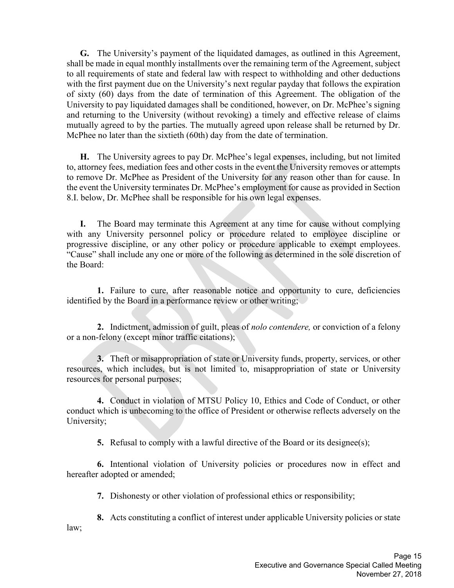**G.** The University's payment of the liquidated damages, as outlined in this Agreement, shall be made in equal monthly installments over the remaining term of the Agreement, subject to all requirements of state and federal law with respect to withholding and other deductions with the first payment due on the University's next regular payday that follows the expiration of sixty (60) days from the date of termination of this Agreement. The obligation of the University to pay liquidated damages shall be conditioned, however, on Dr. McPhee's signing and returning to the University (without revoking) a timely and effective release of claims mutually agreed to by the parties. The mutually agreed upon release shall be returned by Dr. McPhee no later than the sixtieth (60th) day from the date of termination.

**H.** The University agrees to pay Dr. McPhee's legal expenses, including, but not limited to, attorney fees, mediation fees and other costs in the event the University removes or attempts to remove Dr. McPhee as President of the University for any reason other than for cause. In the event the University terminates Dr. McPhee's employment for cause as provided in Section 8.I. below, Dr. McPhee shall be responsible for his own legal expenses.

**I.** The Board may terminate this Agreement at any time for cause without complying with any University personnel policy or procedure related to employee discipline or progressive discipline, or any other policy or procedure applicable to exempt employees. "Cause" shall include any one or more of the following as determined in the sole discretion of the Board:

**1.** Failure to cure, after reasonable notice and opportunity to cure, deficiencies identified by the Board in a performance review or other writing;

**2.** Indictment, admission of guilt, pleas of *nolo contendere,* or conviction of a felony or a non-felony (except minor traffic citations);

**3.** Theft or misappropriation of state or University funds, property, services, or other resources, which includes, but is not limited to, misappropriation of state or University resources for personal purposes;

**4.** Conduct in violation of MTSU Policy 10, Ethics and Code of Conduct, or other conduct which is unbecoming to the office of President or otherwise reflects adversely on the University;

**5.** Refusal to comply with a lawful directive of the Board or its designee(s);

**6.** Intentional violation of University policies or procedures now in effect and hereafter adopted or amended;

**7.** Dishonesty or other violation of professional ethics or responsibility;

**8.** Acts constituting a conflict of interest under applicable University policies or state law;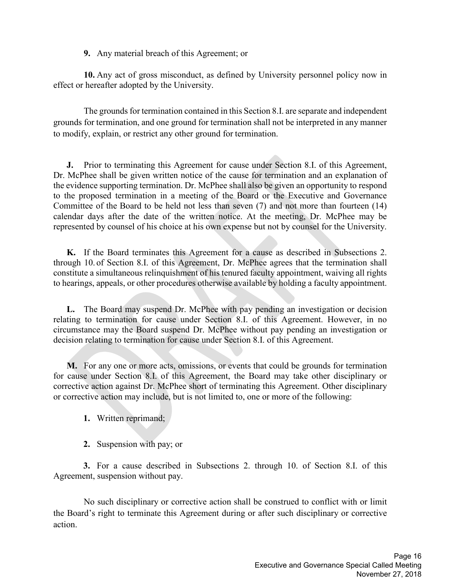**9.** Any material breach of this Agreement; or

**10.** Any act of gross misconduct, as defined by University personnel policy now in effect or hereafter adopted by the University.

The grounds for termination contained in this Section 8.I. are separate and independent grounds for termination, and one ground for termination shall not be interpreted in any manner to modify, explain, or restrict any other ground for termination.

**J.** Prior to terminating this Agreement for cause under Section 8.I. of this Agreement, Dr. McPhee shall be given written notice of the cause for termination and an explanation of the evidence supporting termination. Dr. McPhee shall also be given an opportunity to respond to the proposed termination in a meeting of the Board or the Executive and Governance Committee of the Board to be held not less than seven (7) and not more than fourteen (14) calendar days after the date of the written notice. At the meeting, Dr. McPhee may be represented by counsel of his choice at his own expense but not by counsel for the University.

**K.** If the Board terminates this Agreement for a cause as described in Subsections 2. through 10. of Section 8.I. of this Agreement, Dr. McPhee agrees that the termination shall constitute a simultaneous relinquishment of his tenured faculty appointment, waiving all rights to hearings, appeals, or other procedures otherwise available by holding a faculty appointment.

**L.** The Board may suspend Dr. McPhee with pay pending an investigation or decision relating to termination for cause under Section 8.I. of this Agreement. However, in no circumstance may the Board suspend Dr. McPhee without pay pending an investigation or decision relating to termination for cause under Section 8.I. of this Agreement.

**M.** For any one or more acts, omissions, or events that could be grounds for termination for cause under Section 8.I. of this Agreement, the Board may take other disciplinary or corrective action against Dr. McPhee short of terminating this Agreement. Other disciplinary or corrective action may include, but is not limited to, one or more of the following:

- **1.** Written reprimand;
- **2.** Suspension with pay; or

**3.** For a cause described in Subsections 2. through 10. of Section 8.I. of this Agreement, suspension without pay.

No such disciplinary or corrective action shall be construed to conflict with or limit the Board's right to terminate this Agreement during or after such disciplinary or corrective action.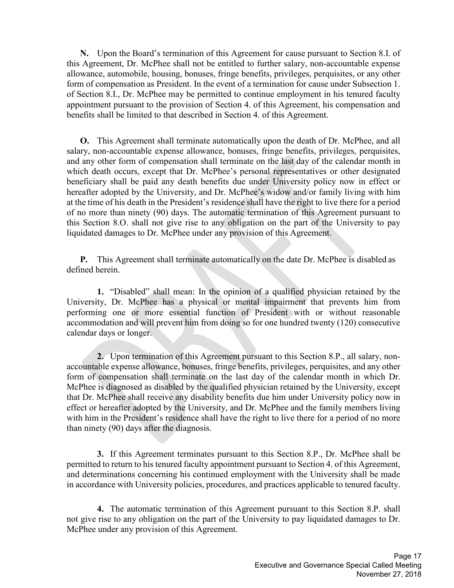**N.** Upon the Board's termination of this Agreement for cause pursuant to Section 8.I. of this Agreement, Dr. McPhee shall not be entitled to further salary, non-accountable expense allowance, automobile, housing, bonuses, fringe benefits, privileges, perquisites, or any other form of compensation as President. In the event of a termination for cause under Subsection 1. of Section 8.I., Dr. McPhee may be permitted to continue employment in his tenured faculty appointment pursuant to the provision of Section 4. of this Agreement, his compensation and benefits shall be limited to that described in Section 4. of this Agreement.

**O.** This Agreement shall terminate automatically upon the death of Dr. McPhee, and all salary, non-accountable expense allowance, bonuses, fringe benefits, privileges, perquisites, and any other form of compensation shall terminate on the last day of the calendar month in which death occurs, except that Dr. McPhee's personal representatives or other designated beneficiary shall be paid any death benefits due under University policy now in effect or hereafter adopted by the University, and Dr. McPhee's widow and/or family living with him at the time of his death in the President's residence shall have the right to live there for a period of no more than ninety (90) days. The automatic termination of this Agreement pursuant to this Section 8.O. shall not give rise to any obligation on the part of the University to pay liquidated damages to Dr. McPhee under any provision of this Agreement.

**P.** This Agreement shall terminate automatically on the date Dr. McPhee is disabled as defined herein.

**1.** "Disabled" shall mean: In the opinion of a qualified physician retained by the University, Dr. McPhee has a physical or mental impairment that prevents him from performing one or more essential function of President with or without reasonable accommodation and will prevent him from doing so for one hundred twenty (120) consecutive calendar days or longer.

**2.** Upon termination of this Agreement pursuant to this Section 8.P., all salary, nonaccountable expense allowance, bonuses, fringe benefits, privileges, perquisites, and any other form of compensation shall terminate on the last day of the calendar month in which Dr. McPhee is diagnosed as disabled by the qualified physician retained by the University, except that Dr. McPhee shall receive any disability benefits due him under University policy now in effect or hereafter adopted by the University, and Dr. McPhee and the family members living with him in the President's residence shall have the right to live there for a period of no more than ninety (90) days after the diagnosis.

**3.** If this Agreement terminates pursuant to this Section 8.P., Dr. McPhee shall be permitted to return to his tenured faculty appointment pursuant to Section 4. of this Agreement, and determinations concerning his continued employment with the University shall be made in accordance with University policies, procedures, and practices applicable to tenured faculty.

**4.** The automatic termination of this Agreement pursuant to this Section 8.P. shall not give rise to any obligation on the part of the University to pay liquidated damages to Dr. McPhee under any provision of this Agreement.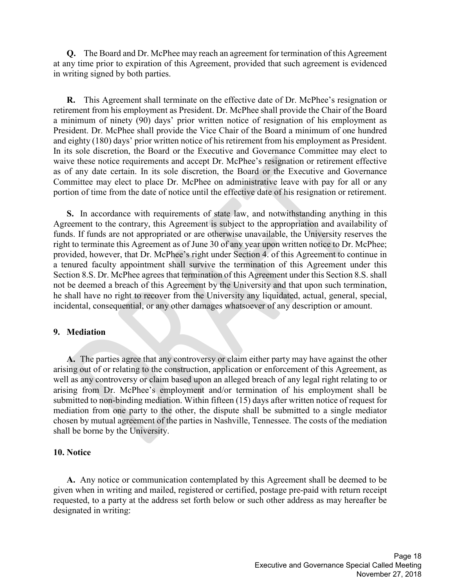**Q.** The Board and Dr. McPhee may reach an agreement for termination of this Agreement at any time prior to expiration of this Agreement, provided that such agreement is evidenced in writing signed by both parties.

**R.** This Agreement shall terminate on the effective date of Dr. McPhee's resignation or retirement from his employment as President. Dr. McPhee shall provide the Chair of the Board a minimum of ninety (90) days' prior written notice of resignation of his employment as President. Dr. McPhee shall provide the Vice Chair of the Board a minimum of one hundred and eighty (180) days' prior written notice of his retirement from his employment as President. In its sole discretion, the Board or the Executive and Governance Committee may elect to waive these notice requirements and accept Dr. McPhee's resignation or retirement effective as of any date certain. In its sole discretion, the Board or the Executive and Governance Committee may elect to place Dr. McPhee on administrative leave with pay for all or any portion of time from the date of notice until the effective date of his resignation or retirement.

**S.** In accordance with requirements of state law, and notwithstanding anything in this Agreement to the contrary, this Agreement is subject to the appropriation and availability of funds. If funds are not appropriated or are otherwise unavailable, the University reserves the right to terminate this Agreement as of June 30 of any year upon written notice to Dr. McPhee; provided, however, that Dr. McPhee's right under Section 4. of this Agreement to continue in a tenured faculty appointment shall survive the termination of this Agreement under this Section 8.S. Dr. McPhee agrees that termination of this Agreement under this Section 8.S. shall not be deemed a breach of this Agreement by the University and that upon such termination, he shall have no right to recover from the University any liquidated, actual, general, special, incidental, consequential, or any other damages whatsoever of any description or amount.

#### **9. Mediation**

**A.** The parties agree that any controversy or claim either party may have against the other arising out of or relating to the construction, application or enforcement of this Agreement, as well as any controversy or claim based upon an alleged breach of any legal right relating to or arising from Dr. McPhee's employment and/or termination of his employment shall be submitted to non-binding mediation. Within fifteen (15) days after written notice of request for mediation from one party to the other, the dispute shall be submitted to a single mediator chosen by mutual agreement of the parties in Nashville, Tennessee. The costs of the mediation shall be borne by the University.

#### **10. Notice**

**A.** Any notice or communication contemplated by this Agreement shall be deemed to be given when in writing and mailed, registered or certified, postage pre-paid with return receipt requested, to a party at the address set forth below or such other address as may hereafter be designated in writing: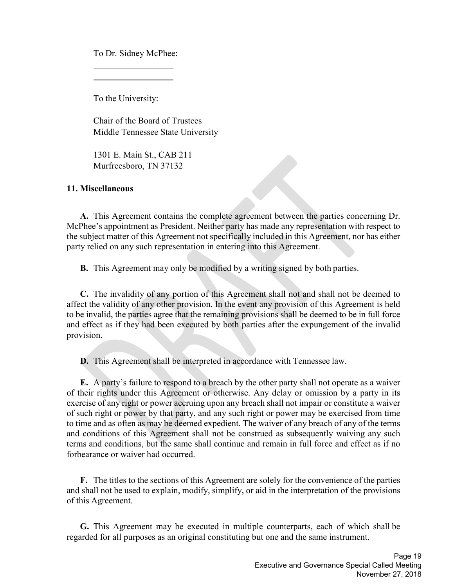To Dr. Sidney McPhee:

To the University:

Chair of the Board of Trustees Middle Tennessee State University

1301 E. Main St., CAB 211 Murfreesboro, TN 37132

#### **11. Miscellaneous**

 $\overline{a}$  $\overline{a}$ 

**A.** This Agreement contains the complete agreement between the parties concerning Dr. McPhee's appointment as President. Neither party has made any representation with respect to the subject matter of this Agreement not specifically included in this Agreement, nor has either party relied on any such representation in entering into this Agreement.

**B.** This Agreement may only be modified by a writing signed by both parties.

**C.** The invalidity of any portion of this Agreement shall not and shall not be deemed to affect the validity of any other provision. In the event any provision of this Agreement is held to be invalid, the parties agree that the remaining provisions shall be deemed to be in full force and effect as if they had been executed by both parties after the expungement of the invalid provision.

**D.** This Agreement shall be interpreted in accordance with Tennessee law.

**E.** A party's failure to respond to a breach by the other party shall not operate as a waiver of their rights under this Agreement or otherwise. Any delay or omission by a party in its exercise of any right or power accruing upon any breach shall not impair or constitute a waiver of such right or power by that party, and any such right or power may be exercised from time to time and as often as may be deemed expedient. The waiver of any breach of any of the terms and conditions of this Agreement shall not be construed as subsequently waiving any such terms and conditions, but the same shall continue and remain in full force and effect as if no forbearance or waiver had occurred.

**F.** The titles to the sections of this Agreement are solely for the convenience of the parties and shall not be used to explain, modify, simplify, or aid in the interpretation of the provisions of this Agreement.

**G.** This Agreement may be executed in multiple counterparts, each of which shall be regarded for all purposes as an original constituting but one and the same instrument.